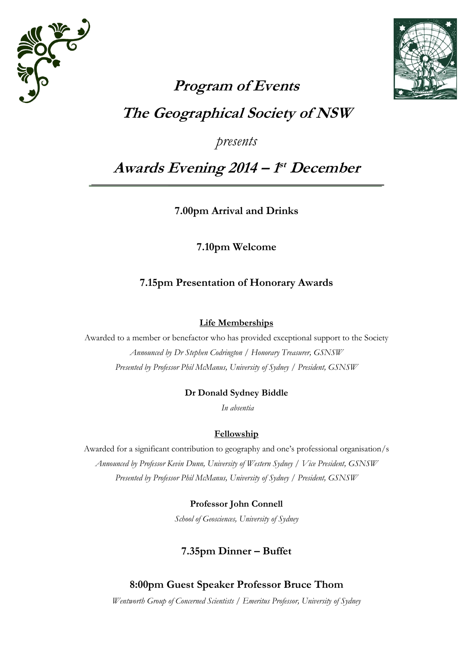



# **Program of Events The Geographical Society of NSW**

*presents*

## **Awards Evening 2014 – 1 st December**

**7.00pm Arrival and Drinks**

**7.10pm Welcome**

## **7.15pm Presentation of Honorary Awards**

#### **Life Memberships**

Awarded to a member or benefactor who has provided exceptional support to the Society *Announced by Dr Stephen Codrington / Honorary Treasurer, GSNSW Presented by Professor Phil McManus, University of Sydney / President, GSNSW*

## **Dr Donald Sydney Biddle**

*In absentia*

## **Fellowship**

Awarded for a significant contribution to geography and one's professional organisation/s *Announced by Professor Kevin Dunn, University of Western Sydney / Vice President, GSNSW Presented by Professor Phil McManus, University of Sydney / President, GSNSW*

## **Professor John Connell**

*School of Geosciences, University of Sydney*

## **7.35pm Dinner – Buffet**

## **8:00pm Guest Speaker Professor Bruce Thom**

*Wentworth Group of Concerned Scientists / Emeritus Professor, University of Sydney*